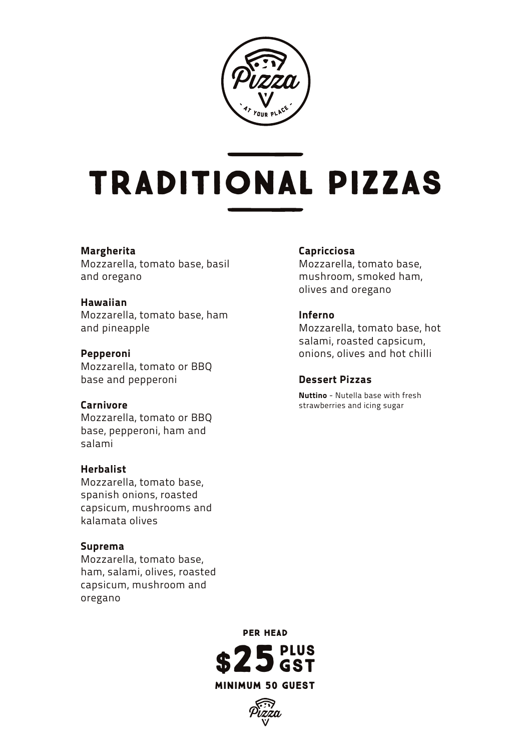

# TRADITIONAL PIZZAS

### **Margherita**

Mozzarella, tomato base, basil and oregano

### **Hawaiian**

Mozzarella, tomato base, ham and pineapple

### **Pepperoni**

Mozzarella, tomato or BBQ base and pepperoni

### **Carnivore**

Mozzarella, tomato or BBQ base, pepperoni, ham and salami

### **Herbalist**

Mozzarella, tomato base, spanish onions, roasted capsicum, mushrooms and kalamata olives

### **Suprema**

Mozzarella, tomato base, ham, salami, olives, roasted capsicum, mushroom and oregano

### **Capricciosa**

Mozzarella, tomato base, mushroom, smoked ham, olives and oregano

#### **Inferno**

Mozzarella, tomato base, hot salami, roasted capsicum, onions, olives and hot chilli

### **Dessert Pizzas**

**Nuttino** - Nutella base with fresh strawberries and icing sugar

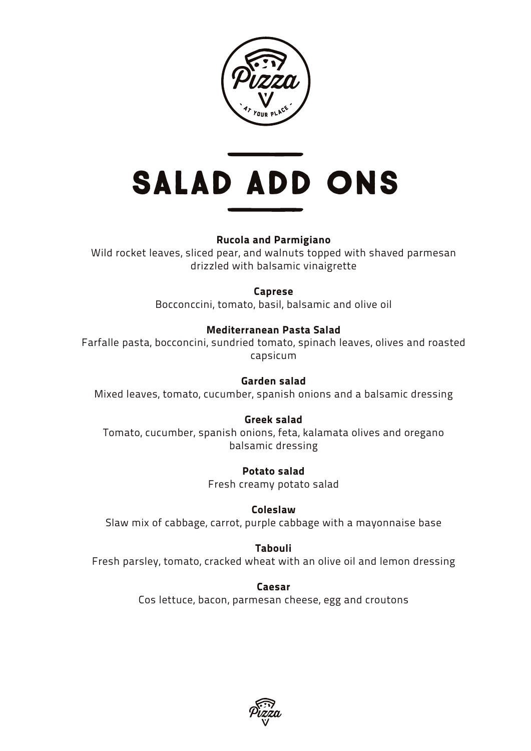

# Salad Add Ons

## **Rucola and Parmigiano**

Wild rocket leaves, sliced pear, and walnuts topped with shaved parmesan drizzled with balsamic vinaigrette

### **Caprese**

Bocconccini, tomato, basil, balsamic and olive oil

### **Mediterranean Pasta Salad**

Farfalle pasta, bocconcini, sundried tomato, spinach leaves, olives and roasted capsicum

### **Garden salad**

Mixed leaves, tomato, cucumber, spanish onions and a balsamic dressing

## **Greek salad**

Tomato, cucumber, spanish onions, feta, kalamata olives and oregano balsamic dressing

> **Potato salad** Fresh creamy potato salad

**Coleslaw** Slaw mix of cabbage, carrot, purple cabbage with a mayonnaise base

### **Tabouli**

Fresh parsley, tomato, cracked wheat with an olive oil and lemon dressing

**Caesar** Cos lettuce, bacon, parmesan cheese, egg and croutons